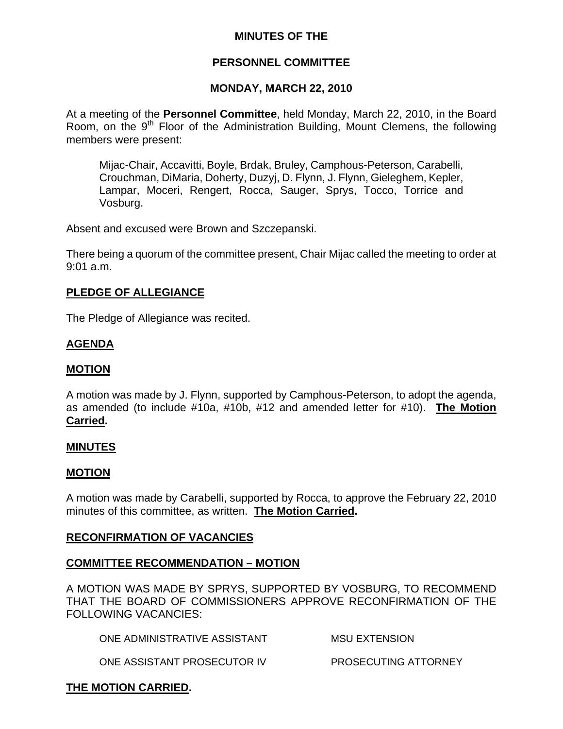## **MINUTES OF THE**

## **PERSONNEL COMMITTEE**

#### **MONDAY, MARCH 22, 2010**

At a meeting of the **Personnel Committee**, held Monday, March 22, 2010, in the Board Room, on the 9<sup>th</sup> Floor of the Administration Building, Mount Clemens, the following members were present:

Mijac-Chair, Accavitti, Boyle, Brdak, Bruley, Camphous-Peterson, Carabelli, Crouchman, DiMaria, Doherty, Duzyj, D. Flynn, J. Flynn, Gieleghem, Kepler, Lampar, Moceri, Rengert, Rocca, Sauger, Sprys, Tocco, Torrice and Vosburg.

Absent and excused were Brown and Szczepanski.

There being a quorum of the committee present, Chair Mijac called the meeting to order at 9:01 a.m.

#### **PLEDGE OF ALLEGIANCE**

The Pledge of Allegiance was recited.

#### **AGENDA**

#### **MOTION**

A motion was made by J. Flynn, supported by Camphous-Peterson, to adopt the agenda, as amended (to include #10a, #10b, #12 and amended letter for #10). **The Motion Carried.** 

#### **MINUTES**

#### **MOTION**

A motion was made by Carabelli, supported by Rocca, to approve the February 22, 2010 minutes of this committee, as written. **The Motion Carried.** 

#### **RECONFIRMATION OF VACANCIES**

#### **COMMITTEE RECOMMENDATION – MOTION**

A MOTION WAS MADE BY SPRYS, SUPPORTED BY VOSBURG, TO RECOMMEND THAT THE BOARD OF COMMISSIONERS APPROVE RECONFIRMATION OF THE FOLLOWING VACANCIES:

ONE ADMINISTRATIVE ASSISTANT MSU EXTENSION

ONE ASSISTANT PROSECUTOR IV PROSECUTING ATTORNEY

#### **THE MOTION CARRIED.**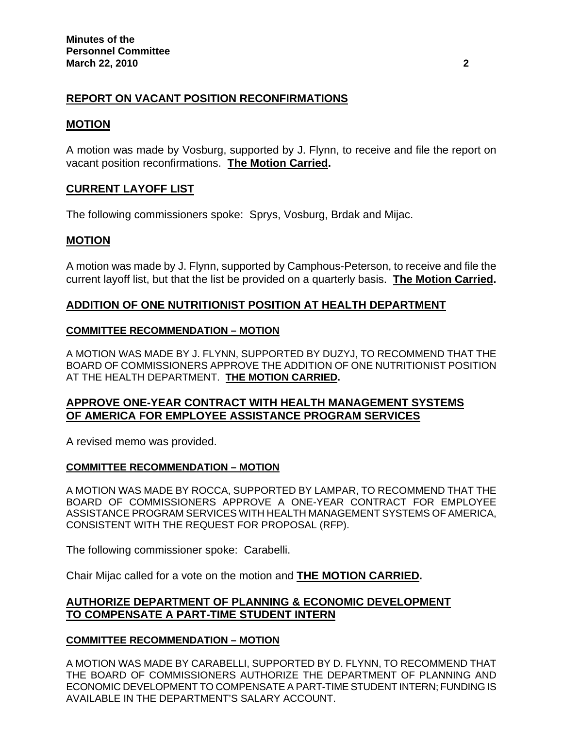# **REPORT ON VACANT POSITION RECONFIRMATIONS**

# **MOTION**

A motion was made by Vosburg, supported by J. Flynn, to receive and file the report on vacant position reconfirmations. **The Motion Carried.** 

# **CURRENT LAYOFF LIST**

The following commissioners spoke: Sprys, Vosburg, Brdak and Mijac.

# **MOTION**

A motion was made by J. Flynn, supported by Camphous-Peterson, to receive and file the current layoff list, but that the list be provided on a quarterly basis. **The Motion Carried.** 

# **ADDITION OF ONE NUTRITIONIST POSITION AT HEALTH DEPARTMENT**

#### **COMMITTEE RECOMMENDATION – MOTION**

A MOTION WAS MADE BY J. FLYNN, SUPPORTED BY DUZYJ, TO RECOMMEND THAT THE BOARD OF COMMISSIONERS APPROVE THE ADDITION OF ONE NUTRITIONIST POSITION AT THE HEALTH DEPARTMENT. **THE MOTION CARRIED.** 

# **APPROVE ONE-YEAR CONTRACT WITH HEALTH MANAGEMENT SYSTEMS OF AMERICA FOR EMPLOYEE ASSISTANCE PROGRAM SERVICES**

A revised memo was provided.

## **COMMITTEE RECOMMENDATION – MOTION**

A MOTION WAS MADE BY ROCCA, SUPPORTED BY LAMPAR, TO RECOMMEND THAT THE BOARD OF COMMISSIONERS APPROVE A ONE-YEAR CONTRACT FOR EMPLOYEE ASSISTANCE PROGRAM SERVICES WITH HEALTH MANAGEMENT SYSTEMS OF AMERICA, CONSISTENT WITH THE REQUEST FOR PROPOSAL (RFP).

The following commissioner spoke: Carabelli.

Chair Mijac called for a vote on the motion and **THE MOTION CARRIED.** 

# **AUTHORIZE DEPARTMENT OF PLANNING & ECONOMIC DEVELOPMENT TO COMPENSATE A PART-TIME STUDENT INTERN**

## **COMMITTEE RECOMMENDATION – MOTION**

A MOTION WAS MADE BY CARABELLI, SUPPORTED BY D. FLYNN, TO RECOMMEND THAT THE BOARD OF COMMISSIONERS AUTHORIZE THE DEPARTMENT OF PLANNING AND ECONOMIC DEVELOPMENT TO COMPENSATE A PART-TIME STUDENT INTERN; FUNDING IS AVAILABLE IN THE DEPARTMENT'S SALARY ACCOUNT.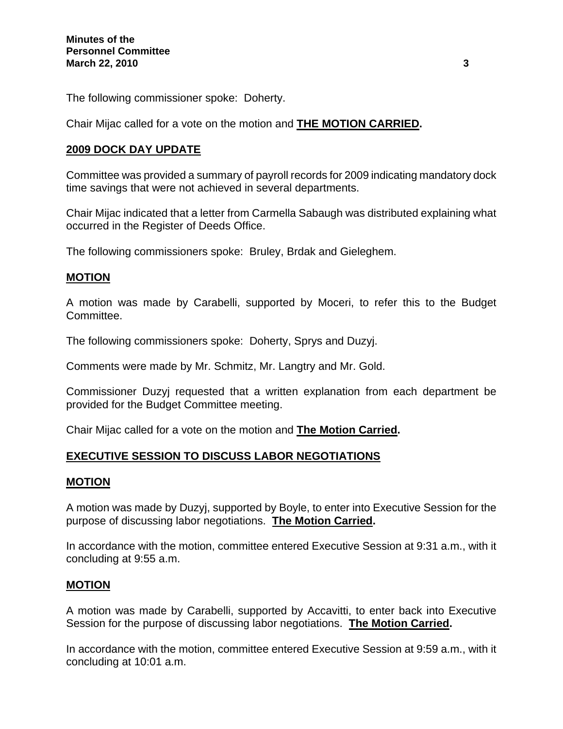The following commissioner spoke: Doherty.

Chair Mijac called for a vote on the motion and **THE MOTION CARRIED.** 

# **2009 DOCK DAY UPDATE**

Committee was provided a summary of payroll records for 2009 indicating mandatory dock time savings that were not achieved in several departments.

Chair Mijac indicated that a letter from Carmella Sabaugh was distributed explaining what occurred in the Register of Deeds Office.

The following commissioners spoke: Bruley, Brdak and Gieleghem.

# **MOTION**

A motion was made by Carabelli, supported by Moceri, to refer this to the Budget Committee.

The following commissioners spoke: Doherty, Sprys and Duzyj.

Comments were made by Mr. Schmitz, Mr. Langtry and Mr. Gold.

Commissioner Duzyj requested that a written explanation from each department be provided for the Budget Committee meeting.

Chair Mijac called for a vote on the motion and **The Motion Carried.** 

## **EXECUTIVE SESSION TO DISCUSS LABOR NEGOTIATIONS**

## **MOTION**

A motion was made by Duzyj, supported by Boyle, to enter into Executive Session for the purpose of discussing labor negotiations. **The Motion Carried.** 

In accordance with the motion, committee entered Executive Session at 9:31 a.m., with it concluding at 9:55 a.m.

## **MOTION**

A motion was made by Carabelli, supported by Accavitti, to enter back into Executive Session for the purpose of discussing labor negotiations. **The Motion Carried.** 

In accordance with the motion, committee entered Executive Session at 9:59 a.m., with it concluding at 10:01 a.m.